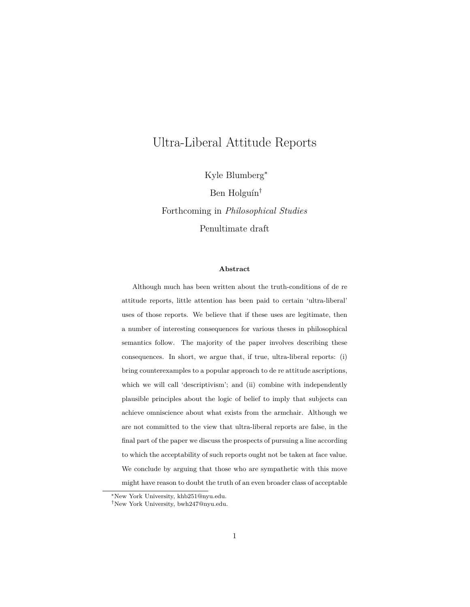# Ultra-Liberal Attitude Reports

Kyle Blumberg<sup>∗</sup>

Ben Holguín †

Forthcoming in *Philosophical Studies* Penultimate draft

#### **Abstract**

Although much has been written about the truth-conditions of de re attitude reports, little attention has been paid to certain 'ultra-liberal' uses of those reports. We believe that if these uses are legitimate, then a number of interesting consequences for various theses in philosophical semantics follow. The majority of the paper involves describing these consequences. In short, we argue that, if true, ultra-liberal reports: (i) bring counterexamples to a popular approach to de re attitude ascriptions, which we will call 'descriptivism'; and (ii) combine with independently plausible principles about the logic of belief to imply that subjects can achieve omniscience about what exists from the armchair. Although we are not committed to the view that ultra-liberal reports are false, in the final part of the paper we discuss the prospects of pursuing a line according to which the acceptability of such reports ought not be taken at face value. We conclude by arguing that those who are sympathetic with this move might have reason to doubt the truth of an even broader class of acceptable

<sup>∗</sup>New York University, khb251@nyu.edu.

<sup>†</sup>New York University, bwh247@nyu.edu.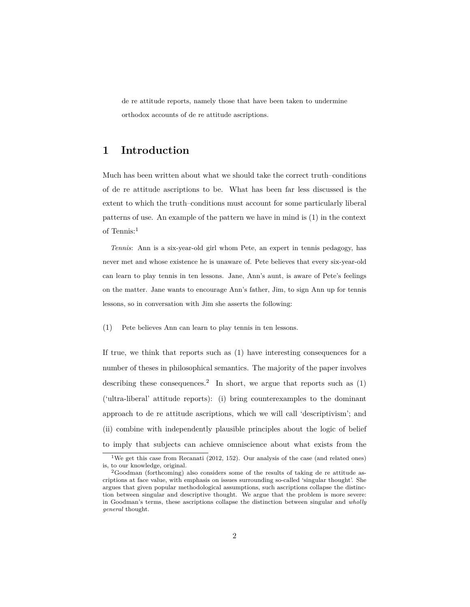de re attitude reports, namely those that have been taken to undermine orthodox accounts of de re attitude ascriptions.

# **1 Introduction**

Much has been written about what we should take the correct truth–conditions of de re attitude ascriptions to be. What has been far less discussed is the extent to which the truth–conditions must account for some particularly liberal patterns of use. An example of the pattern we have in mind is [\(1\)](#page-1-0) in the context of Tennis:<sup>1</sup>

*Tennis*: Ann is a six-year-old girl whom Pete, an expert in tennis pedagogy, has never met and whose existence he is unaware of. Pete believes that every six-year-old can learn to play tennis in ten lessons. Jane, Ann's aunt, is aware of Pete's feelings on the matter. Jane wants to encourage Ann's father, Jim, to sign Ann up for tennis lessons, so in conversation with Jim she asserts the following:

<span id="page-1-0"></span>(1) Pete believes Ann can learn to play tennis in ten lessons.

If true, we think that reports such as [\(1\)](#page-1-0) have interesting consequences for a number of theses in philosophical semantics. The majority of the paper involves describing these consequences.<sup>2</sup> In short, we argue that reports such as  $(1)$ ('ultra-liberal' attitude reports): (i) bring counterexamples to the dominant approach to de re attitude ascriptions, which we will call 'descriptivism'; and (ii) combine with independently plausible principles about the logic of belief to imply that subjects can achieve omniscience about what exists from the

<sup>&</sup>lt;sup>1</sup>We get this case from [Recanati](#page-28-0) [\(2012,](#page-28-0) 152). Our analysis of the case (and related ones) is, to our knowledge, original.

<sup>2</sup>[Goodman](#page-27-0) [\(forthcoming\)](#page-27-0) also considers some of the results of taking de re attitude ascriptions at face value, with emphasis on issues surrounding so-called 'singular thought'. She argues that given popular methodological assumptions, such ascriptions collapse the distinction between singular and descriptive thought. We argue that the problem is more severe: in Goodman's terms, these ascriptions collapse the distinction between singular and *wholly general* thought.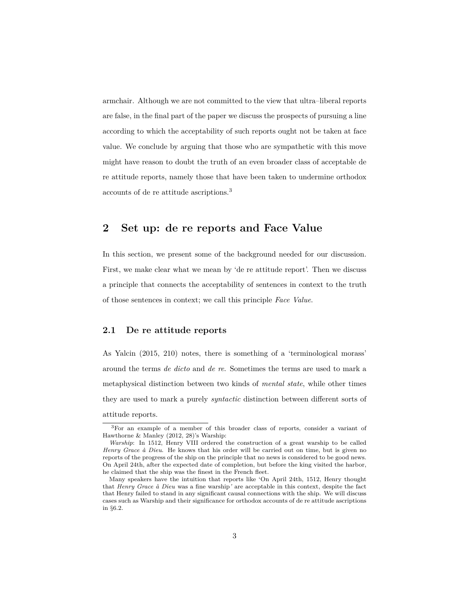armchair. Although we are not committed to the view that ultra–liberal reports are false, in the final part of the paper we discuss the prospects of pursuing a line according to which the acceptability of such reports ought not be taken at face value. We conclude by arguing that those who are sympathetic with this move might have reason to doubt the truth of an even broader class of acceptable de re attitude reports, namely those that have been taken to undermine orthodox accounts of de re attitude ascriptions.<sup>3</sup>

# **2 Set up: de re reports and Face Value**

In this section, we present some of the background needed for our discussion. First, we make clear what we mean by 'de re attitude report'. Then we discuss a principle that connects the acceptability of sentences in context to the truth of those sentences in context; we call this principle *Face Value*.

### **2.1 De re attitude reports**

As [Yalcin](#page-29-0) [\(2015,](#page-29-0) 210) notes, there is something of a 'terminological morass' around the terms *de dicto* and *de re*. Sometimes the terms are used to mark a metaphysical distinction between two kinds of *mental state*, while other times they are used to mark a purely *syntactic* distinction between different sorts of attitude reports.

<sup>3</sup>For an example of a member of this broader class of reports, consider a variant of [Hawthorne & Manley](#page-27-1) [\(2012,](#page-27-1) 28)'s Warship:

*Warship*: In 1512, Henry VIII ordered the construction of a great warship to be called *Henry Grace à Dieu*. He knows that his order will be carried out on time, but is given no reports of the progress of the ship on the principle that no news is considered to be good news. On April 24th, after the expected date of completion, but before the king visited the harbor, he claimed that the ship was the finest in the French fleet.

Many speakers have the intuition that reports like 'On April 24th, 1512, Henry thought that *Henry Grace à Dieu* was a fine warship*'* are acceptable in this context, despite the fact that Henry failed to stand in any significant causal connections with the ship. We will discuss cases such as Warship and their significance for orthodox accounts of de re attitude ascriptions in §6.2.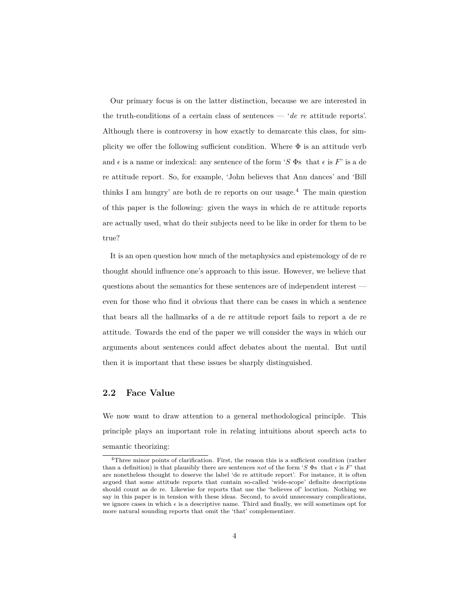Our primary focus is on the latter distinction, because we are interested in the truth-conditions of a certain class of sentences — '*de re* attitude reports'. Although there is controversy in how exactly to demarcate this class, for simplicity we offer the following sufficient condition. Where  $\Phi$  is an attitude verb and  $\epsilon$  is a name or indexical: any sentence of the form '*S*  $\Phi$ s that  $\epsilon$  is *F*' is a de re attitude report. So, for example, 'John believes that Ann dances' and 'Bill thinks I am hungry' are both de re reports on our usage.<sup>4</sup> The main question of this paper is the following: given the ways in which de re attitude reports are actually used, what do their subjects need to be like in order for them to be true?

It is an open question how much of the metaphysics and epistemology of de re thought should influence one's approach to this issue. However, we believe that questions about the semantics for these sentences are of independent interest even for those who find it obvious that there can be cases in which a sentence that bears all the hallmarks of a de re attitude report fails to report a de re attitude. Towards the end of the paper we will consider the ways in which our arguments about sentences could affect debates about the mental. But until then it is important that these issues be sharply distinguished.

## **2.2 Face Value**

We now want to draw attention to a general methodological principle. This principle plays an important role in relating intuitions about speech acts to semantic theorizing:

<sup>4</sup>Three minor points of clarification. First, the reason this is a sufficient condition (rather than a definition) is that plausibly there are sentences *not* of the form '*S*  $\Phi$ s that  $\epsilon$  is *F*' that are nonetheless thought to deserve the label 'de re attitude report'. For instance, it is often argued that some attitude reports that contain so-called 'wide-scope' definite descriptions should count as de re. Likewise for reports that use the 'believes of' locution. Nothing we say in this paper is in tension with these ideas. Second, to avoid unnecessary complications, we ignore cases in which  $\epsilon$  is a descriptive name. Third and finally, we will sometimes opt for more natural sounding reports that omit the 'that' complementizer.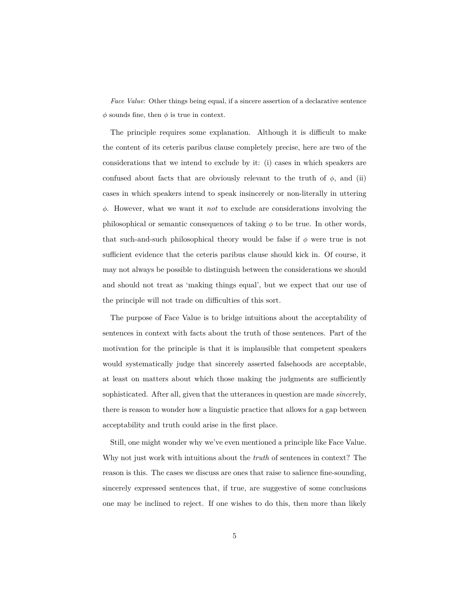*Face Value*: Other things being equal, if a sincere assertion of a declarative sentence  $\phi$  sounds fine, then  $\phi$  is true in context.

The principle requires some explanation. Although it is difficult to make the content of its ceteris paribus clause completely precise, here are two of the considerations that we intend to exclude by it: (i) cases in which speakers are confused about facts that are obviously relevant to the truth of  $\phi$ , and (ii) cases in which speakers intend to speak insincerely or non-literally in uttering *φ*. However, what we want it *not* to exclude are considerations involving the philosophical or semantic consequences of taking  $\phi$  to be true. In other words, that such-and-such philosophical theory would be false if  $\phi$  were true is not sufficient evidence that the ceteris paribus clause should kick in. Of course, it may not always be possible to distinguish between the considerations we should and should not treat as 'making things equal', but we expect that our use of the principle will not trade on difficulties of this sort.

The purpose of Face Value is to bridge intuitions about the acceptability of sentences in context with facts about the truth of those sentences. Part of the motivation for the principle is that it is implausible that competent speakers would systematically judge that sincerely asserted falsehoods are acceptable, at least on matters about which those making the judgments are sufficiently sophisticated. After all, given that the utterances in question are made *sincere*ly, there is reason to wonder how a linguistic practice that allows for a gap between acceptability and truth could arise in the first place.

Still, one might wonder why we've even mentioned a principle like Face Value. Why not just work with intuitions about the *truth* of sentences in context? The reason is this. The cases we discuss are ones that raise to salience fine-sounding, sincerely expressed sentences that, if true, are suggestive of some conclusions one may be inclined to reject. If one wishes to do this, then more than likely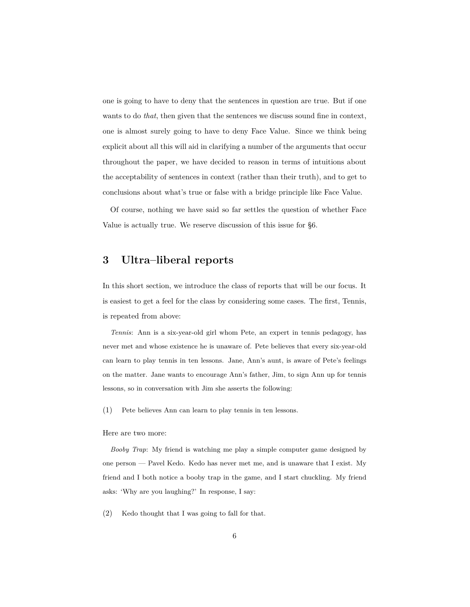one is going to have to deny that the sentences in question are true. But if one wants to do *that*, then given that the sentences we discuss sound fine in context, one is almost surely going to have to deny Face Value. Since we think being explicit about all this will aid in clarifying a number of the arguments that occur throughout the paper, we have decided to reason in terms of intuitions about the acceptability of sentences in context (rather than their truth), and to get to conclusions about what's true or false with a bridge principle like Face Value.

Of course, nothing we have said so far settles the question of whether Face Value is actually true. We reserve discussion of this issue for §6.

# **3 Ultra–liberal reports**

In this short section, we introduce the class of reports that will be our focus. It is easiest to get a feel for the class by considering some cases. The first, Tennis, is repeated from above:

*Tennis*: Ann is a six-year-old girl whom Pete, an expert in tennis pedagogy, has never met and whose existence he is unaware of. Pete believes that every six-year-old can learn to play tennis in ten lessons. Jane, Ann's aunt, is aware of Pete's feelings on the matter. Jane wants to encourage Ann's father, Jim, to sign Ann up for tennis lessons, so in conversation with Jim she asserts the following:

(1) Pete believes Ann can learn to play tennis in ten lessons.

#### Here are two more:

*Booby Trap*: My friend is watching me play a simple computer game designed by one person — Pavel Kedo. Kedo has never met me, and is unaware that I exist. My friend and I both notice a booby trap in the game, and I start chuckling. My friend asks: 'Why are you laughing?' In response, I say:

<span id="page-5-0"></span>(2) Kedo thought that I was going to fall for that.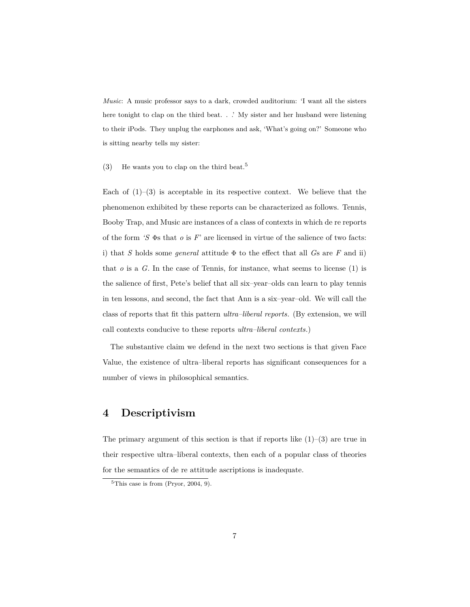*Music*: A music professor says to a dark, crowded auditorium: 'I want all the sisters here tonight to clap on the third beat. . .' My sister and her husband were listening to their iPods. They unplug the earphones and ask, 'What's going on?' Someone who is sitting nearby tells my sister:

<span id="page-6-0"></span>(3) He wants you to clap on the third beat.<sup>5</sup>

Each of  $(1)$ – $(3)$  is acceptable in its respective context. We believe that the phenomenon exhibited by these reports can be characterized as follows. Tennis, Booby Trap, and Music are instances of a class of contexts in which de re reports of the form *'S* Φs that *o* is *F*' are licensed in virtue of the salience of two facts: i) that *S* holds some *general* attitude Φ to the effect that all *G*s are *F* and ii) that  $o$  is a  $G$ . In the case of Tennis, for instance, what seems to license  $(1)$  is the salience of first, Pete's belief that all six–year–olds can learn to play tennis in ten lessons, and second, the fact that Ann is a six–year–old. We will call the class of reports that fit this pattern *ultra–liberal reports*. (By extension, we will call contexts conducive to these reports *ultra–liberal contexts*.)

The substantive claim we defend in the next two sections is that given Face Value, the existence of ultra–liberal reports has significant consequences for a number of views in philosophical semantics.

# **4 Descriptivism**

The primary argument of this section is that if reports like  $(1)-(3)$  $(1)-(3)$  $(1)-(3)$  are true in their respective ultra–liberal contexts, then each of a popular class of theories for the semantics of de re attitude ascriptions is inadequate.

 ${}^{5}$ This case is from [\(Pryor,](#page-28-1) [2004,](#page-28-1) 9).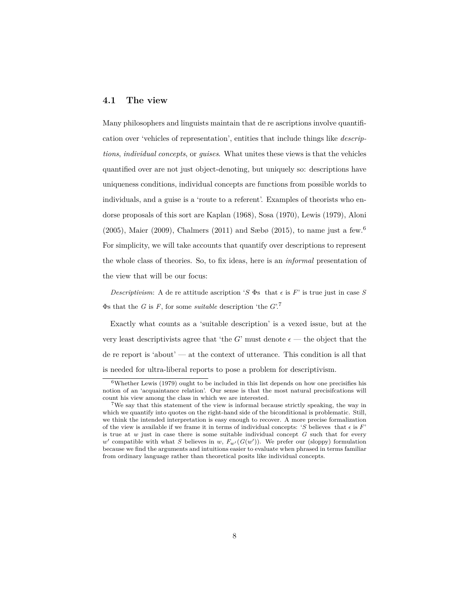#### **4.1 The view**

Many philosophers and linguists maintain that de re ascriptions involve quantification over 'vehicles of representation', entities that include things like *descriptions*, *individual concepts*, or *guises*. What unites these views is that the vehicles quantified over are not just object-denoting, but uniquely so: descriptions have uniqueness conditions, individual concepts are functions from possible worlds to individuals, and a guise is a 'route to a referent'. Examples of theorists who endorse proposals of this sort are [Kaplan](#page-28-2) [\(1968\)](#page-28-2), [Sosa](#page-28-3) [\(1970\)](#page-28-3), [Lewis](#page-28-4) [\(1979\)](#page-28-4), [Aloni](#page-27-2) [\(2005\)](#page-27-2), [Maier](#page-28-5) [\(2009\)](#page-28-5), [Chalmers](#page-27-3) [\(2011\)](#page-27-3) and [Sæbø](#page-28-6) [\(2015\)](#page-28-6), to name just a few.<sup>6</sup> For simplicity, we will take accounts that quantify over descriptions to represent the whole class of theories. So, to fix ideas, here is an *informal* presentation of the view that will be our focus:

*Descriptivism*: A de re attitude ascription '*S*  $\Phi$ s that  $\epsilon$  is *F*' is true just in case *S* Φs that the *G* is *F*, for some *suitable* description 'the *G*'.<sup>7</sup>

Exactly what counts as a 'suitable description' is a vexed issue, but at the very least descriptivists agree that 'the *G*' must denote  $\epsilon$  — the object that the de re report is 'about' — at the context of utterance. This condition is all that is needed for ultra-liberal reports to pose a problem for descriptivism.

 $6$ Whether [Lewis](#page-28-4) [\(1979\)](#page-28-4) ought to be included in this list depends on how one precisifies his notion of an 'acquaintance relation'. Our sense is that the most natural precisifcations will count his view among the class in which we are interested.

<sup>7</sup>We say that this statement of the view is informal because strictly speaking, the way in which we quantify into quotes on the right-hand side of the biconditional is problematic. Still, we think the intended interpretation is easy enough to recover. A more precise formalization of the view is available if we frame it in terms of individual concepts: '*S* believes that  $\epsilon$  is  $F'$ ' is true at *w* just in case there is some suitable individual concept *G* such that for every  $w'$  compatible with what *S* believes in *w*,  $F_{w'}(G(w'))$ . We prefer our (sloppy) formulation because we find the arguments and intuitions easier to evaluate when phrased in terms familiar from ordinary language rather than theoretical posits like individual concepts.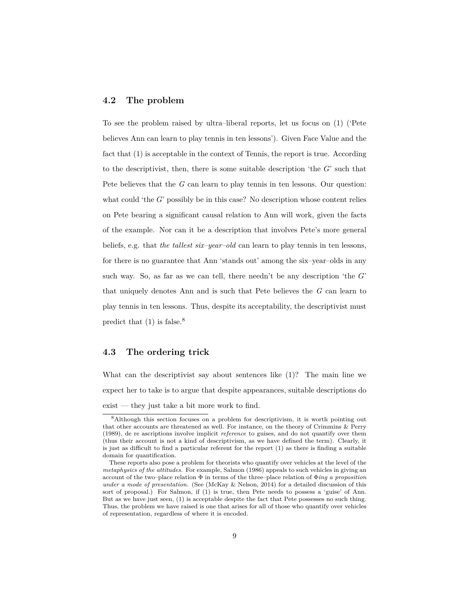### **4.2 The problem**

To see the problem raised by ultra–liberal reports, let us focus on [\(1\)](#page-1-0) ('Pete believes Ann can learn to play tennis in ten lessons'). Given Face Value and the fact that [\(1\)](#page-1-0) is acceptable in the context of Tennis, the report is true. According to the descriptivist, then, there is some suitable description 'the *G*' such that Pete believes that the *G* can learn to play tennis in ten lessons. Our question: what could 'the *G*' possibly be in this case? No description whose content relies on Pete bearing a significant causal relation to Ann will work, given the facts of the example. Nor can it be a description that involves Pete's more general beliefs, e.g. that *the tallest six–year–old* can learn to play tennis in ten lessons, for there is no guarantee that Ann 'stands out' among the six–year–olds in any such way. So, as far as we can tell, there needn't be any description 'the *G*' that uniquely denotes Ann and is such that Pete believes the *G* can learn to play tennis in ten lessons. Thus, despite its acceptability, the descriptivist must predict that  $(1)$  is false.<sup>8</sup>

### **4.3 The ordering trick**

What can the descriptivist say about sentences like [\(1\)](#page-1-0)? The main line we expect her to take is to argue that despite appearances, suitable descriptions do exist — they just take a bit more work to find.

<sup>8</sup>Although this section focuses on a problem for descriptivism, it is worth pointing out that other accounts are threatened as well. For instance, on the theory of [Crimmins & Perry](#page-27-4) [\(1989\)](#page-27-4), de re ascriptions involve implicit *reference* to guises, and do not quantify over them (thus their account is not a kind of descriptivism, as we have defined the term). Clearly, it is just as difficult to find a particular referent for the report [\(1\)](#page-1-0) as there is finding a suitable domain for quantification.

These reports also pose a problem for theorists who quantify over vehicles at the level of the *metaphysics of the attitudes*. For example, [Salmon](#page-28-7) [\(1986\)](#page-28-7) appeals to such vehicles in giving an account of the two–place relation Φ in terms of the three–place relation of Φ*ing a proposition under a mode of presentation*. (See [\(McKay & Nelson,](#page-28-8) [2014\)](#page-28-8) for a detailed discussion of this sort of proposal.) For Salmon, if [\(1\)](#page-1-0) is true, then Pete needs to possess a 'guise' of Ann. But as we have just seen, [\(1\)](#page-1-0) is acceptable despite the fact that Pete possesses no such thing. Thus, the problem we have raised is one that arises for all of those who quantify over vehicles of representation, regardless of where it is encoded.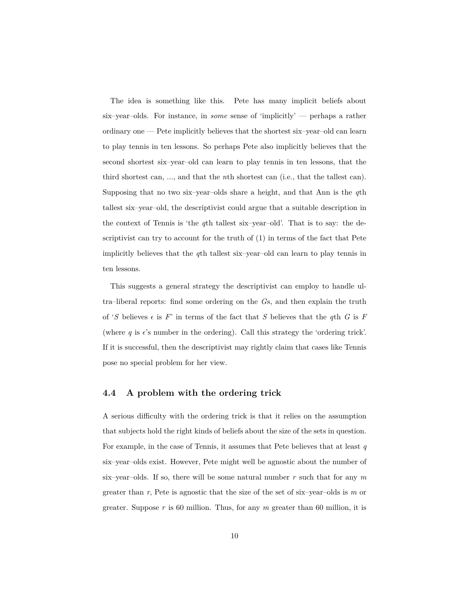The idea is something like this. Pete has many implicit beliefs about six–year–olds. For instance, in *some* sense of 'implicitly' — perhaps a rather ordinary one — Pete implicitly believes that the shortest six–year–old can learn to play tennis in ten lessons. So perhaps Pete also implicitly believes that the second shortest six–year–old can learn to play tennis in ten lessons, that the third shortest can, ..., and that the *n*th shortest can (i.e., that the tallest can). Supposing that no two six–year–olds share a height, and that Ann is the *q*th tallest six–year–old, the descriptivist could argue that a suitable description in the context of Tennis is 'the *q*th tallest six–year–old'. That is to say: the descriptivist can try to account for the truth of [\(1\)](#page-1-0) in terms of the fact that Pete implicitly believes that the *q*th tallest six–year–old can learn to play tennis in ten lessons.

This suggests a general strategy the descriptivist can employ to handle ultra–liberal reports: find some ordering on the *G*s, and then explain the truth of '*S* believes  $\epsilon$  is *F*' in terms of the fact that *S* believes that the *q*th *G* is *F* (where  $q$  is  $\epsilon$ 's number in the ordering). Call this strategy the 'ordering trick'. If it is successful, then the descriptivist may rightly claim that cases like Tennis pose no special problem for her view.

#### **4.4 A problem with the ordering trick**

A serious difficulty with the ordering trick is that it relies on the assumption that subjects hold the right kinds of beliefs about the size of the sets in question. For example, in the case of Tennis, it assumes that Pete believes that at least *q* six–year–olds exist. However, Pete might well be agnostic about the number of six–year–olds. If so, there will be some natural number *r* such that for any *m* greater than *r*, Pete is agnostic that the size of the set of six–year–olds is *m* or greater. Suppose *r* is 60 million. Thus, for any *m* greater than 60 million, it is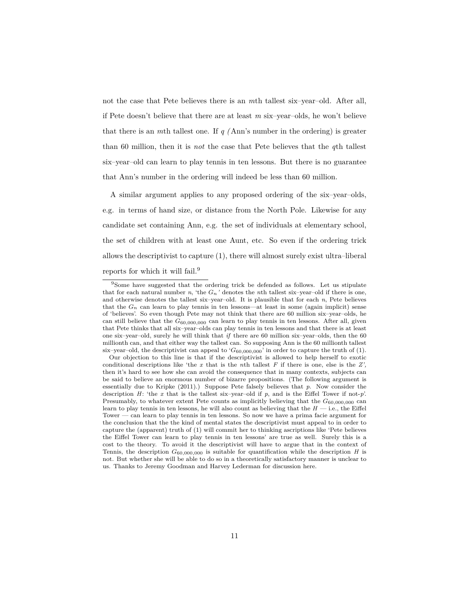not the case that Pete believes there is an *m*th tallest six–year–old. After all, if Pete doesn't believe that there are at least *m* six–year–olds, he won't believe that there is an *m*th tallest one. If *q (*Ann's number in the ordering) is greater than 60 million, then it is *not* the case that Pete believes that the *q*th tallest six–year–old can learn to play tennis in ten lessons. But there is no guarantee that Ann's number in the ordering will indeed be less than 60 million.

A similar argument applies to any proposed ordering of the six–year–olds, e.g. in terms of hand size, or distance from the North Pole. Likewise for any candidate set containing Ann, e.g. the set of individuals at elementary school, the set of children with at least one Aunt, etc. So even if the ordering trick allows the descriptivist to capture [\(1\)](#page-1-0), there will almost surely exist ultra–liberal reports for which it will fail.<sup>9</sup>

<sup>9</sup>Some have suggested that the ordering trick be defended as follows. Let us stipulate that for each natural number *n*, 'the  $G_n$ ' denotes the *n*th tallest six–year–old if there is one, and otherwise denotes the tallest six–year–old. It is plausible that for each *n*, Pete believes that the  $G_n$  can learn to play tennis in ten lessons—at least in some (again implicit) sense of 'believes'. So even though Pete may not think that there are 60 million six–year–olds, he can still believe that the  $G_{60,000,000}$  can learn to play tennis in ten lessons. After all, given that Pete thinks that all six–year–olds can play tennis in ten lessons and that there is at least one six–year–old, surely he will think that *if* there are 60 million six–year–olds, then the 60 millionth can, and that either way the tallest can. So supposing Ann is the 60 millionth tallest six–year–old, the descriptivist can appeal to ' $G_{60,000,000}$ ' in order to capture the truth of [\(1\)](#page-1-0).

Our objection to this line is that if the descriptivist is allowed to help herself to exotic conditional descriptions like 'the *x* that is the *n*th tallest *F* if there is one, else is the *Z',* then it's hard to see how she can avoid the consequence that in many contexts, subjects can be said to believe an enormous number of bizarre propositions. (The following argument is essentially due to [Kripke](#page-28-9) [\(2011\)](#page-28-9).) Suppose Pete falsely believes that *p*. Now consider the description *H*: 'the *x* that is the tallest six–year–old if *p*, and is the Eiffel Tower if not-*p*'. Presumably, to whatever extent Pete counts as implicitly believing that the *G*60*,*000*,*<sup>000</sup> can learn to play tennis in ten lessons, he will also count as believing that the  $H - i.e.,$  the Eiffel Tower — can learn to play tennis in ten lessons. So now we have a prima facie argument for the conclusion that the the kind of mental states the descriptivist must appeal to in order to capture the (apparent) truth of [\(1\)](#page-1-0) will commit her to thinking ascriptions like 'Pete believes the Eiffel Tower can learn to play tennis in ten lessons' are true as well. Surely this is a cost to the theory. To avoid it the descriptivist will have to argue that in the context of Tennis, the description  $G_{60,000,000}$  is suitable for quantification while the description *H* is not. But whether she will be able to do so in a theoretically satisfactory manner is unclear to us. Thanks to Jeremy Goodman and Harvey Lederman for discussion here.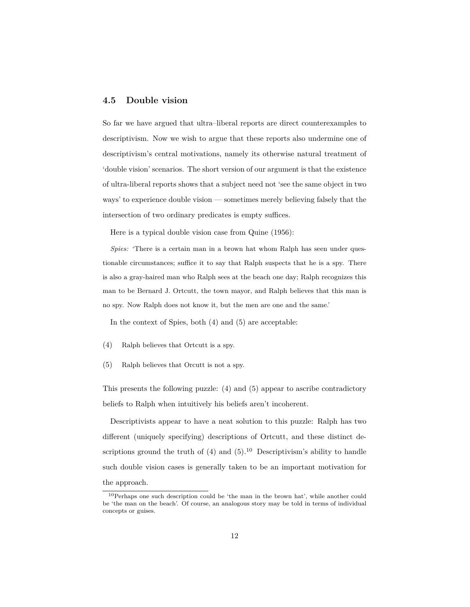### **4.5 Double vision**

So far we have argued that ultra–liberal reports are direct counterexamples to descriptivism. Now we wish to argue that these reports also undermine one of descriptivism's central motivations, namely its otherwise natural treatment of 'double vision' scenarios. The short version of our argument is that the existence of ultra-liberal reports shows that a subject need not 'see the same object in two ways' to experience double vision — sometimes merely believing falsely that the intersection of two ordinary predicates is empty suffices.

Here is a typical double vision case from [Quine](#page-28-10) [\(1956\)](#page-28-10):

*Spies:* 'There is a certain man in a brown hat whom Ralph has seen under questionable circumstances; suffice it to say that Ralph suspects that he is a spy. There is also a gray-haired man who Ralph sees at the beach one day; Ralph recognizes this man to be Bernard J. Ortcutt, the town mayor, and Ralph believes that this man is no spy. Now Ralph does not know it, but the men are one and the same.'

In the context of Spies, both [\(4\)](#page-11-0) and [\(5\)](#page-11-1) are acceptable:

- <span id="page-11-0"></span>(4) Ralph believes that Ortcutt is a spy.
- <span id="page-11-1"></span>(5) Ralph believes that Orcutt is not a spy.

This presents the following puzzle: [\(4\)](#page-11-0) and [\(5\)](#page-11-1) appear to ascribe contradictory beliefs to Ralph when intuitively his beliefs aren't incoherent.

Descriptivists appear to have a neat solution to this puzzle: Ralph has two different (uniquely specifying) descriptions of Ortcutt, and these distinct descriptions ground the truth of  $(4)$  and  $(5)$ .<sup>10</sup> Descriptivism's ability to handle such double vision cases is generally taken to be an important motivation for the approach.

<sup>10</sup>Perhaps one such description could be 'the man in the brown hat', while another could be 'the man on the beach'. Of course, an analogous story may be told in terms of individual concepts or guises.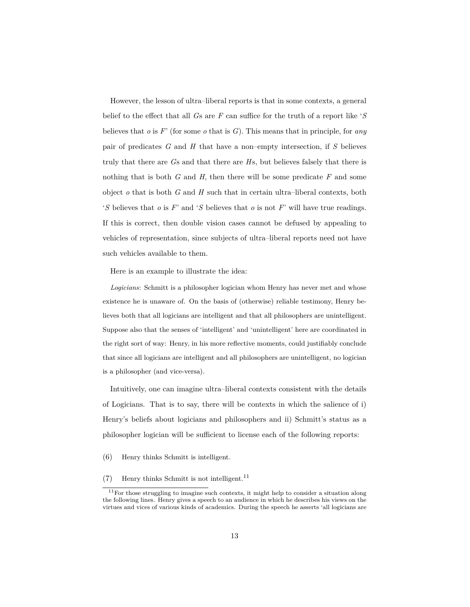However, the lesson of ultra–liberal reports is that in some contexts, a general belief to the effect that all *G*s are *F* can suffice for the truth of a report like '*S* believes that *o* is *F*' (for some *o* that is *G*). This means that in principle, for *any* pair of predicates *G* and *H* that have a non–empty intersection, if *S* believes truly that there are *G*s and that there are *H*s, but believes falsely that there is nothing that is both *G* and *H*, then there will be some predicate *F* and some object *o* that is both *G* and *H* such that in certain ultra–liberal contexts, both '*S* believes that *o* is *F*' and '*S* believes that *o* is not *F*' will have true readings. If this is correct, then double vision cases cannot be defused by appealing to vehicles of representation, since subjects of ultra–liberal reports need not have such vehicles available to them.

Here is an example to illustrate the idea:

*Logicians*: Schmitt is a philosopher logician whom Henry has never met and whose existence he is unaware of. On the basis of (otherwise) reliable testimony, Henry believes both that all logicians are intelligent and that all philosophers are unintelligent. Suppose also that the senses of 'intelligent' and 'unintelligent' here are coordinated in the right sort of way: Henry, in his more reflective moments, could justifiably conclude that since all logicians are intelligent and all philosophers are unintelligent, no logician is a philosopher (and vice-versa).

Intuitively, one can imagine ultra–liberal contexts consistent with the details of Logicians. That is to say, there will be contexts in which the salience of i) Henry's beliefs about logicians and philosophers and ii) Schmitt's status as a philosopher logician will be sufficient to license each of the following reports:

- <span id="page-12-1"></span><span id="page-12-0"></span>(6) Henry thinks Schmitt is intelligent.
- $(7)$  Henry thinks Schmitt is not intelligent.<sup>11</sup>

 $^{11}\mathrm{For}$  those struggling to imagine such contexts, it might help to consider a situation along the following lines. Henry gives a speech to an audience in which he describes his views on the virtues and vices of various kinds of academics. During the speech he asserts 'all logicians are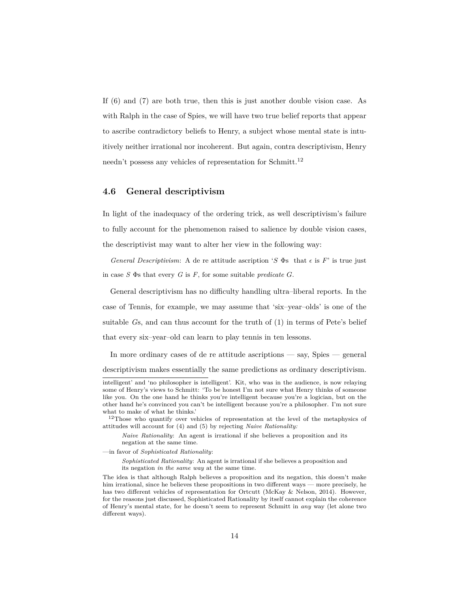If [\(6\)](#page-12-0) and [\(7\)](#page-12-1) are both true, then this is just another double vision case. As with Ralph in the case of Spies, we will have two true belief reports that appear to ascribe contradictory beliefs to Henry, a subject whose mental state is intuitively neither irrational nor incoherent. But again, contra descriptivism, Henry needn't possess any vehicles of representation for Schmitt.<sup>12</sup>

### **4.6 General descriptivism**

In light of the inadequacy of the ordering trick, as well descriptivism's failure to fully account for the phenomenon raised to salience by double vision cases, the descriptivist may want to alter her view in the following way:

*General Descriptivism*: A de re attitude ascription '*S*  $\Phi$ s that  $\epsilon$  is *F*' is true just in case  $S$   $\Phi$ s that every  $G$  is  $F$ , for some suitable *predicate*  $G$ .

General descriptivism has no difficulty handling ultra–liberal reports. In the case of Tennis, for example, we may assume that 'six–year–olds' is one of the suitable *G*s, and can thus account for the truth of [\(1\)](#page-1-0) in terms of Pete's belief that every six–year–old can learn to play tennis in ten lessons.

In more ordinary cases of de re attitude ascriptions — say, Spies — general descriptivism makes essentially the same predictions as ordinary descriptivism.

intelligent' and 'no philosopher is intelligent'. Kit, who was in the audience, is now relaying some of Henry's views to Schmitt: 'To be honest I'm not sure what Henry thinks of someone like you. On the one hand he thinks you're intelligent because you're a logician, but on the other hand he's convinced you can't be intelligent because you're a philosopher. I'm not sure what to make of what he thinks.'

 $12$ Those who quantify over vehicles of representation at the level of the metaphysics of attitudes will account for [\(4\)](#page-11-0) and [\(5\)](#page-11-1) by rejecting *Naive Rationality:*

*Naive Rationality*: An agent is irrational if she believes a proposition and its negation at the same time.

<sup>—</sup>in favor of *Sophisticated Rationality*:

*Sophisticated Rationality*: An agent is irrational if she believes a proposition and its negation *in the same way* at the same time.

The idea is that although Ralph believes a proposition and its negation, this doesn't make him irrational, since he believes these propositions in two different ways — more precisely, he has two different vehicles of representation for Ortcutt [\(McKay & Nelson,](#page-28-8) [2014\)](#page-28-8). However, for the reasons just discussed, Sophisticated Rationality by itself cannot explain the coherence of Henry's mental state, for he doesn't seem to represent Schmitt in *any* way (let alone two different ways).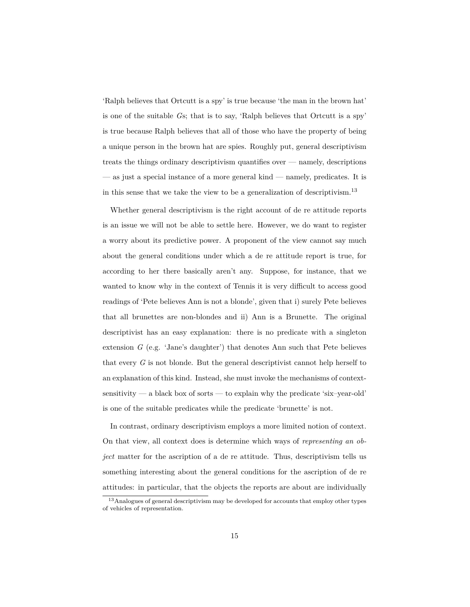'Ralph believes that Ortcutt is a spy' is true because 'the man in the brown hat' is one of the suitable *G*s; that is to say, 'Ralph believes that Ortcutt is a spy' is true because Ralph believes that all of those who have the property of being a unique person in the brown hat are spies. Roughly put, general descriptivism treats the things ordinary descriptivism quantifies over — namely, descriptions — as just a special instance of a more general kind — namely, predicates. It is in this sense that we take the view to be a generalization of descriptivism.<sup>13</sup>

Whether general descriptivism is the right account of de re attitude reports is an issue we will not be able to settle here. However, we do want to register a worry about its predictive power. A proponent of the view cannot say much about the general conditions under which a de re attitude report is true, for according to her there basically aren't any. Suppose, for instance, that we wanted to know why in the context of Tennis it is very difficult to access good readings of 'Pete believes Ann is not a blonde', given that i) surely Pete believes that all brunettes are non-blondes and ii) Ann is a Brunette. The original descriptivist has an easy explanation: there is no predicate with a singleton extension *G* (e.g. 'Jane's daughter') that denotes Ann such that Pete believes that every *G* is not blonde. But the general descriptivist cannot help herself to an explanation of this kind. Instead, she must invoke the mechanisms of contextsensitivity — a black box of sorts — to explain why the predicate 'six–year-old' is one of the suitable predicates while the predicate 'brunette' is not.

In contrast, ordinary descriptivism employs a more limited notion of context. On that view, all context does is determine which ways of *representing an object* matter for the ascription of a de re attitude. Thus, descriptivism tells us something interesting about the general conditions for the ascription of de re attitudes: in particular, that the objects the reports are about are individually

<sup>&</sup>lt;sup>13</sup> Analogues of general descriptivism may be developed for accounts that employ other types of vehicles of representation.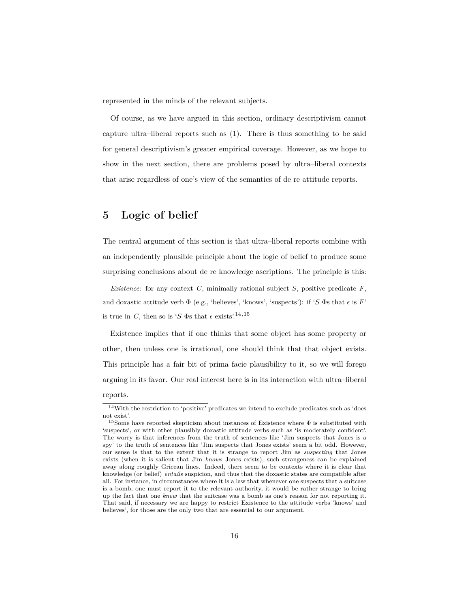represented in the minds of the relevant subjects.

Of course, as we have argued in this section, ordinary descriptivism cannot capture ultra–liberal reports such as [\(1\)](#page-1-0). There is thus something to be said for general descriptivism's greater empirical coverage. However, as we hope to show in the next section, there are problems posed by ultra–liberal contexts that arise regardless of one's view of the semantics of de re attitude reports.

# **5 Logic of belief**

The central argument of this section is that ultra–liberal reports combine with an independently plausible principle about the logic of belief to produce some surprising conclusions about de re knowledge ascriptions. The principle is this:

*Existence*: for any context *C*, minimally rational subject *S*, positive predicate *F*, and doxastic attitude verb  $\Phi$  (e.g., 'believes', 'knows', 'suspects'): if '*S*  $\Phi$ s that  $\epsilon$  is *F*' is true in *C*, then so is '*S*  $\Phi$ s that  $\epsilon$  exists'.<sup>14,15</sup>

Existence implies that if one thinks that some object has some property or other, then unless one is irrational, one should think that that object exists. This principle has a fair bit of prima facie plausibility to it, so we will forego arguing in its favor. Our real interest here is in its interaction with ultra–liberal reports.

 $14\!\!\!$  Vith the restriction to 'positive' predicates we intend to exclude predicates such as 'does not exist'.

<sup>&</sup>lt;sup>15</sup>Some have reported skepticism about instances of Existence where  $\Phi$  is substituted with 'suspects', or with other plausibly doxastic attitude verbs such as 'is moderately confident'. The worry is that inferences from the truth of sentences like 'Jim suspects that Jones is a spy' to the truth of sentences like 'Jim suspects that Jones exists' seem a bit odd. However, our sense is that to the extent that it is strange to report Jim as *suspecting* that Jones exists (when it is salient that Jim *knows* Jones exists), such strangeness can be explained away along roughly Gricean lines. Indeed, there seem to be contexts where it is clear that knowledge (or belief) *entails* suspicion, and thus that the doxastic states are compatible after all. For instance, in circumstances where it is a law that whenever one suspects that a suitcase is a bomb, one must report it to the relevant authority, it would be rather strange to bring up the fact that one *knew* that the suitcase was a bomb as one's reason for not reporting it. That said, if necessary we are happy to restrict Existence to the attitude verbs 'knows' and believes', for those are the only two that are essential to our argument.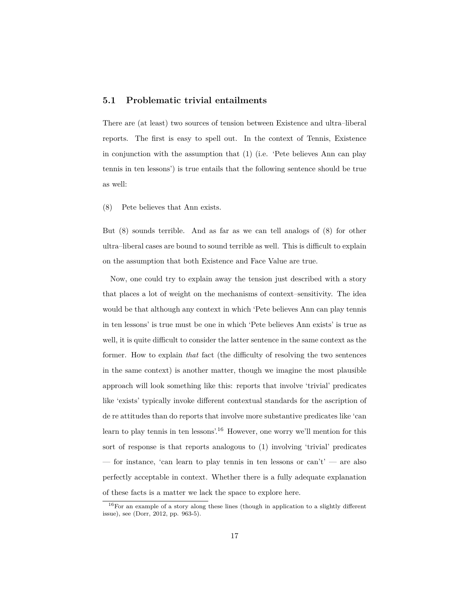### **5.1 Problematic trivial entailments**

There are (at least) two sources of tension between Existence and ultra–liberal reports. The first is easy to spell out. In the context of Tennis, Existence in conjunction with the assumption that [\(1\)](#page-1-0) (i.e. 'Pete believes Ann can play tennis in ten lessons') is true entails that the following sentence should be true as well:

<span id="page-16-0"></span>(8) Pete believes that Ann exists.

But [\(8\)](#page-16-0) sounds terrible. And as far as we can tell analogs of [\(8\)](#page-16-0) for other ultra–liberal cases are bound to sound terrible as well. This is difficult to explain on the assumption that both Existence and Face Value are true.

Now, one could try to explain away the tension just described with a story that places a lot of weight on the mechanisms of context–sensitivity. The idea would be that although any context in which 'Pete believes Ann can play tennis in ten lessons' is true must be one in which 'Pete believes Ann exists' is true as well, it is quite difficult to consider the latter sentence in the same context as the former. How to explain *that* fact (the difficulty of resolving the two sentences in the same context) is another matter, though we imagine the most plausible approach will look something like this: reports that involve 'trivial' predicates like 'exists' typically invoke different contextual standards for the ascription of de re attitudes than do reports that involve more substantive predicates like 'can learn to play tennis in ten lessons'.<sup>16</sup> However, one worry we'll mention for this sort of response is that reports analogous to [\(1\)](#page-1-0) involving 'trivial' predicates — for instance, 'can learn to play tennis in ten lessons or  $can't'$  — are also perfectly acceptable in context. Whether there is a fully adequate explanation of these facts is a matter we lack the space to explore here.

<sup>16</sup>For an example of a story along these lines (though in application to a slightly different issue), see [\(Dorr,](#page-27-5) [2012,](#page-27-5) pp. 963-5).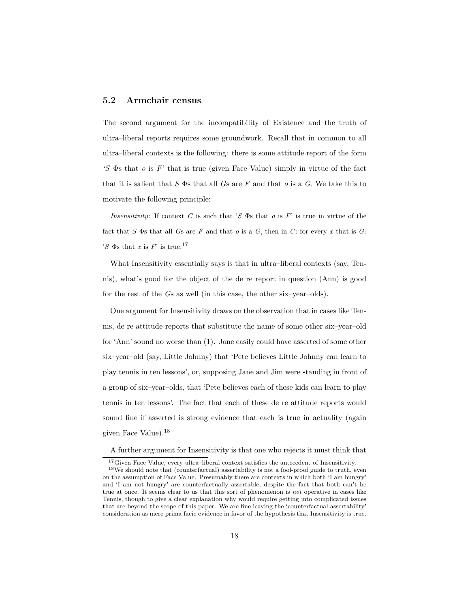### **5.2 Armchair census**

The second argument for the incompatibility of Existence and the truth of ultra–liberal reports requires some groundwork. Recall that in common to all ultra–liberal contexts is the following: there is some attitude report of the form *'S* Φs that *o* is *F*' that is true (given Face Value) simply in virtue of the fact that it is salient that *S* Φs that all *G*s are *F* and that *o* is a *G*. We take this to motivate the following principle:

*Insensitivity*: If context *C* is such that '*S* Φs that *o* is *F*' is true in virtue of the fact that  $S$   $\Phi$ s that all  $G$ s are  $F$  and that  $o$  is a  $G$ , then in  $C$ : for every  $x$  that is  $G$ :  ${}^{'}S$   $\Phi$ s that *x* is *F*' is true.<sup>17</sup>

What Insensitivity essentially says is that in ultra–liberal contexts (say, Tennis), what's good for the object of the de re report in question (Ann) is good for the rest of the *G*s as well (in this case, the other six–year–olds).

One argument for Insensitivity draws on the observation that in cases like Tennis, de re attitude reports that substitute the name of some other six–year–old for 'Ann' sound no worse than [\(1\)](#page-1-0). Jane easily could have asserted of some other six–year–old (say, Little Johnny) that 'Pete believes Little Johnny can learn to play tennis in ten lessons', or, supposing Jane and Jim were standing in front of a group of six–year–olds, that 'Pete believes each of these kids can learn to play tennis in ten lessons'. The fact that each of these de re attitude reports would sound fine if asserted is strong evidence that each is true in actuality (again given Face Value).<sup>18</sup>

A further argument for Insensitivity is that one who rejects it must think that

 $^{17}\mathrm{Given}$  Face Value, every ultra–liberal context satisfies the antecedent of Insensitivity.

<sup>&</sup>lt;sup>18</sup>We should note that (counterfactual) assertability is not a fool-proof guide to truth, even on the assumption of Face Value. Presumably there are contexts in which both 'I am hungry' and 'I am not hungry' are counterfactually assertable, despite the fact that both can't be true at once. It seems clear to us that this sort of phenomenon is *not* operative in cases like Tennis, though to give a clear explanation why would require getting into complicated issues that are beyond the scope of this paper. We are fine leaving the 'counterfactual assertability' consideration as mere prima facie evidence in favor of the hypothesis that Insensitivity is true.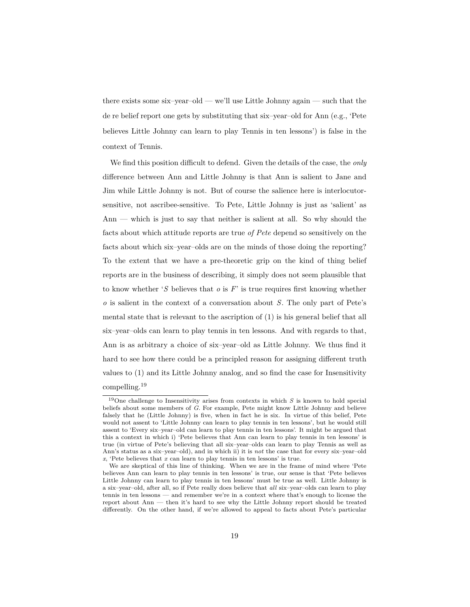there exists some six–year–old — we'll use Little Johnny again — such that the de re belief report one gets by substituting that six–year–old for Ann (e.g., 'Pete believes Little Johnny can learn to play Tennis in ten lessons') is false in the context of Tennis.

We find this position difficult to defend. Given the details of the case, the *only* difference between Ann and Little Johnny is that Ann is salient to Jane and Jim while Little Johnny is not. But of course the salience here is interlocutorsensitive, not ascribee-sensitive. To Pete, Little Johnny is just as 'salient' as Ann — which is just to say that neither is salient at all. So why should the facts about which attitude reports are true *of Pete* depend so sensitively on the facts about which six–year–olds are on the minds of those doing the reporting? To the extent that we have a pre-theoretic grip on the kind of thing belief reports are in the business of describing, it simply does not seem plausible that to know whether '*S* believes that *o* is *F*' is true requires first knowing whether *o* is salient in the context of a conversation about *S*. The only part of Pete's mental state that is relevant to the ascription of [\(1\)](#page-1-0) is his general belief that all six–year–olds can learn to play tennis in ten lessons. And with regards to that, Ann is as arbitrary a choice of six–year–old as Little Johnny. We thus find it hard to see how there could be a principled reason for assigning different truth values to [\(1\)](#page-1-0) and its Little Johnny analog, and so find the case for Insensitivity compelling.<sup>19</sup>

<sup>19</sup>One challenge to Insensitivity arises from contexts in which *S* is known to hold special beliefs about some members of *G*. For example, Pete might know Little Johnny and believe falsely that he (Little Johnny) is five, when in fact he is six. In virtue of this belief, Pete would not assent to 'Little Johnny can learn to play tennis in ten lessons', but he would still assent to 'Every six–year–old can learn to play tennis in ten lessons'. It might be argued that this a context in which i) 'Pete believes that Ann can learn to play tennis in ten lessons' is true (in virtue of Pete's believing that all six–year–olds can learn to play Tennis as well as Ann's status as a six–year–old), and in which ii) it is *not* the case that for every six–year–old *x*, 'Pete believes that *x* can learn to play tennis in ten lessons' is true.

We are skeptical of this line of thinking. When we are in the frame of mind where 'Pete believes Ann can learn to play tennis in ten lessons' is true, our sense is that 'Pete believes Little Johnny can learn to play tennis in ten lessons' must be true as well. Little Johnny is a six–year–old, after all, so if Pete really does believe that *all* six–year–olds can learn to play tennis in ten lessons — and remember we're in a context where that's enough to license the report about Ann — then it's hard to see why the Little Johnny report should be treated differently. On the other hand, if we're allowed to appeal to facts about Pete's particular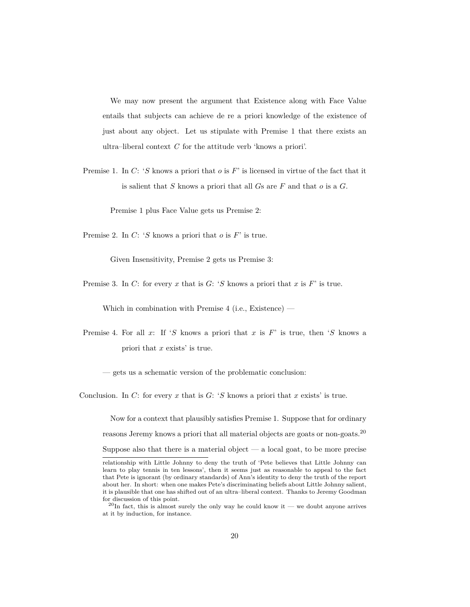We may now present the argument that Existence along with Face Value entails that subjects can achieve de re a priori knowledge of the existence of just about any object. Let us stipulate with Premise 1 that there exists an ultra–liberal context *C* for the attitude verb 'knows a priori'.

Premise 1. In *C*: '*S* knows a priori that *o* is *F*' is licensed in virtue of the fact that it is salient that *S* knows a priori that all *G*s are *F* and that *o* is a *G*.

Premise 1 plus Face Value gets us Premise 2:

Premise 2. In *C*: '*S* knows a priori that *o* is *F*' is true.

Given Insensitivity, Premise 2 gets us Premise 3:

Premise 3. In *C*: for every *x* that is *G*: '*S* knows a priori that *x* is *F*' is true.

Which in combination with Premise  $4$  (i.e., Existence) —

Premise 4. For all *x*: If '*S* knows a priori that *x* is *F*' is true, then '*S* knows a priori that *x* exists' is true.

— gets us a schematic version of the problematic conclusion:

Conclusion. In *C*: for every *x* that is *G*: '*S* knows a priori that *x* exists' is true.

Now for a context that plausibly satisfies Premise 1. Suppose that for ordinary reasons Jeremy knows a priori that all material objects are goats or non-goats.<sup>20</sup> Suppose also that there is a material object  $-$  a local goat, to be more precise

relationship with Little Johnny to deny the truth of 'Pete believes that Little Johnny can learn to play tennis in ten lessons', then it seems just as reasonable to appeal to the fact that Pete is ignorant (by ordinary standards) of Ann's identity to deny the truth of the report about her. In short: when one makes Pete's discriminating beliefs about Little Johnny salient, it is plausible that one has shifted out of an ultra–liberal context. Thanks to Jeremy Goodman for discussion of this point.

 $^{20}$ In fact, this is almost surely the only way he could know it — we doubt anyone arrives at it by induction, for instance.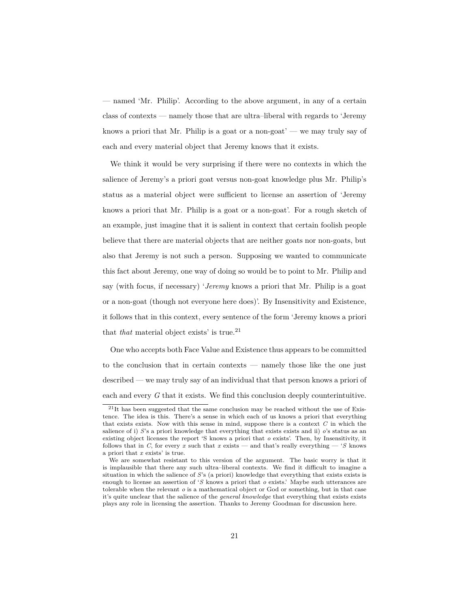— named 'Mr. Philip'. According to the above argument, in any of a certain class of contexts — namely those that are ultra–liberal with regards to 'Jeremy knows a priori that Mr. Philip is a goat or a non-goat' — we may truly say of each and every material object that Jeremy knows that it exists.

We think it would be very surprising if there were no contexts in which the salience of Jeremy's a priori goat versus non-goat knowledge plus Mr. Philip's status as a material object were sufficient to license an assertion of 'Jeremy knows a priori that Mr. Philip is a goat or a non-goat'. For a rough sketch of an example, just imagine that it is salient in context that certain foolish people believe that there are material objects that are neither goats nor non-goats, but also that Jeremy is not such a person. Supposing we wanted to communicate this fact about Jeremy, one way of doing so would be to point to Mr. Philip and say (with focus, if necessary) '*Jeremy* knows a priori that Mr. Philip is a goat or a non-goat (though not everyone here does)'. By Insensitivity and Existence, it follows that in this context, every sentence of the form 'Jeremy knows a priori that *that* material object exists' is true.<sup>21</sup>

One who accepts both Face Value and Existence thus appears to be committed to the conclusion that in certain contexts — namely those like the one just described — we may truly say of an individual that that person knows a priori of each and every *G* that it exists. We find this conclusion deeply counterintuitive.

 $^{21}$ It has been suggested that the same conclusion may be reached without the use of Existence. The idea is this. There's a sense in which each of us knows a priori that everything that exists exists. Now with this sense in mind, suppose there is a context *C* in which the salience of i) *S*'s a priori knowledge that everything that exists exists and ii) *o*'s status as an existing object licenses the report 'S knows a priori that *o* exists'. Then, by Insensitivity, it follows that in *C*, for every *x* such that *x* exists — and that's really everything — '*S* knows a priori that *x* exists' is true.

We are somewhat resistant to this version of the argument. The basic worry is that it is implausible that there any such ultra–liberal contexts. We find it difficult to imagine a situation in which the salience of *S*'s (a priori) knowledge that everything that exists exists is enough to license an assertion of '*S* knows a priori that *o* exists.' Maybe such utterances are tolerable when the relevant *o* is a mathematical object or God or something, but in that case it's quite unclear that the salience of the *general knowledge* that everything that exists exists plays any role in licensing the assertion. Thanks to Jeremy Goodman for discussion here.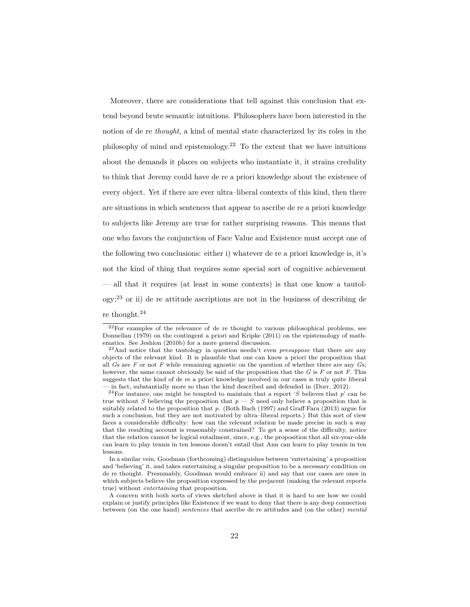Moreover, there are considerations that tell against this conclusion that extend beyond brute semantic intuitions. Philosophers have been interested in the notion of de re *thought*, a kind of mental state characterized by its roles in the philosophy of mind and epistemology.<sup>22</sup> To the extent that we have intuitions about the demands it places on subjects who instantiate it, it strains credulity to think that Jeremy could have de re a priori knowledge about the existence of every object. Yet if there are ever ultra–liberal contexts of this kind, then there are situations in which sentences that appear to ascribe de re a priori knowledge to subjects like Jeremy are true for rather surprising reasons. This means that one who favors the conjunction of Face Value and Existence must accept one of the following two conclusions: either i) whatever de re a priori knowledge is, it's not the kind of thing that requires some special sort of cognitive achievement — all that it requires (at least in some contexts) is that one know a tautol- $\log y$ ;<sup>23</sup> or ii) de re attitude ascriptions are not in the business of describing de re thought.<sup>24</sup>

<sup>22</sup>For examples of the relevance of de re thought to various philosophical problems, see [Donnellan](#page-27-6) [\(1979\)](#page-27-6) on the contingent a priori and [Kripke](#page-28-9) [\(2011\)](#page-28-9) on the epistemology of mathematics. See [Jeshion](#page-27-7) [\(2010b\)](#page-27-7) for a more general discussion.

<sup>23</sup>And notice that the tautology in question needn't even *presuppose* that there are any objects of the relevant kind. It is plausible that one can know a priori the proposition that all *G*s are *F* or not *F* while remaining agnostic on the question of whether there are any *G*s; however, the same cannot obviously be said of the proposition that the *G* is *F* or not *F*. This suggests that the kind of de re a priori knowledge involved in our cases is truly quite liberal — in fact, substantially more so than the kind described and defended in [\(Dorr,](#page-27-5) [2012\)](#page-27-5).

<sup>24</sup>For instance, one might be tempted to maintain that a report '*S* believes that *p*' can be true without *S* believing the proposition that  $p-S$  need only believe a proposition that is suitably related to the proposition that *p.* (Both [Bach](#page-27-8) [\(1997\)](#page-27-8) and [Graff Fara](#page-27-9) [\(2013\)](#page-27-9) argue for such a conclusion, but they are not motivated by ultra–liberal reports.) But this sort of view faces a considerable difficulty: how can the relevant relation be made precise in such a way that the resulting account is reasonably constrained? To get a sense of the difficulty, notice that the relation cannot be logical entailment, since, e.g., the proposition that all six-year-olds can learn to play tennis in ten lessons doesn't entail that Ann can learn to play tennis in ten lessons.

In a similar vein, [Goodman](#page-27-0) [\(forthcoming\)](#page-27-0) distinguishes between 'entertaining' a proposition and 'believing' it, and takes entertaining a singular proposition to be a necessary condition on de re thought. Presumably, Goodman would embrace ii) and say that our cases are ones in which subjects believe the proposition expressed by the prejacent (making the relevant reports true) without *entertaining* that proposition.

A concern with both sorts of views sketched above is that it is hard to see how we could explain or justify principles like Existence if we want to deny that there is any deep connection between (on the one hand) *sentences* that ascribe de re attitudes and (on the other) *mental*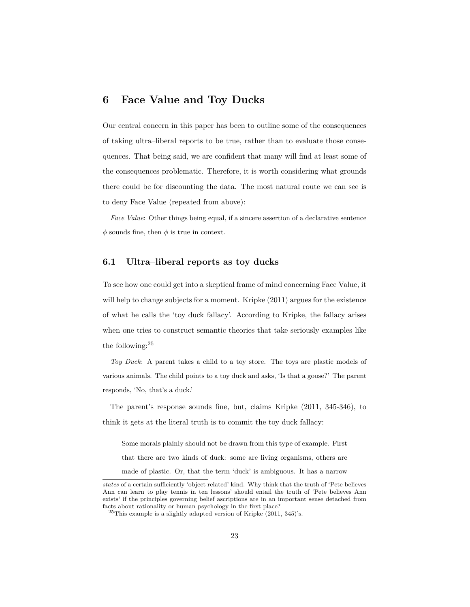# **6 Face Value and Toy Ducks**

Our central concern in this paper has been to outline some of the consequences of taking ultra–liberal reports to be true, rather than to evaluate those consequences. That being said, we are confident that many will find at least some of the consequences problematic. Therefore, it is worth considering what grounds there could be for discounting the data. The most natural route we can see is to deny Face Value (repeated from above):

*Face Value*: Other things being equal, if a sincere assertion of a declarative sentence  $\phi$  sounds fine, then  $\phi$  is true in context.

#### **6.1 Ultra–liberal reports as toy ducks**

To see how one could get into a skeptical frame of mind concerning Face Value, it will help to change subjects for a moment. [Kripke](#page-28-9) [\(2011\)](#page-28-9) argues for the existence of what he calls the 'toy duck fallacy'. According to Kripke, the fallacy arises when one tries to construct semantic theories that take seriously examples like the following:<sup>25</sup>

*Toy Duck*: A parent takes a child to a toy store. The toys are plastic models of various animals. The child points to a toy duck and asks, 'Is that a goose?' The parent responds, 'No, that's a duck.'

The parent's response sounds fine, but, claims [Kripke](#page-28-9) [\(2011,](#page-28-9) 345-346), to think it gets at the literal truth is to commit the toy duck fallacy:

Some morals plainly should not be drawn from this type of example. First that there are two kinds of duck: some are living organisms, others are made of plastic. Or, that the term 'duck' is ambiguous. It has a narrow

*states* of a certain sufficiently 'object related' kind. Why think that the truth of 'Pete believes Ann can learn to play tennis in ten lessons' should entail the truth of 'Pete believes Ann exists' if the principles governing belief ascriptions are in an important sense detached from facts about rationality or human psychology in the first place?

 $25$ This example is a slightly adapted version of [Kripke](#page-28-9) [\(2011,](#page-28-9) 345)'s.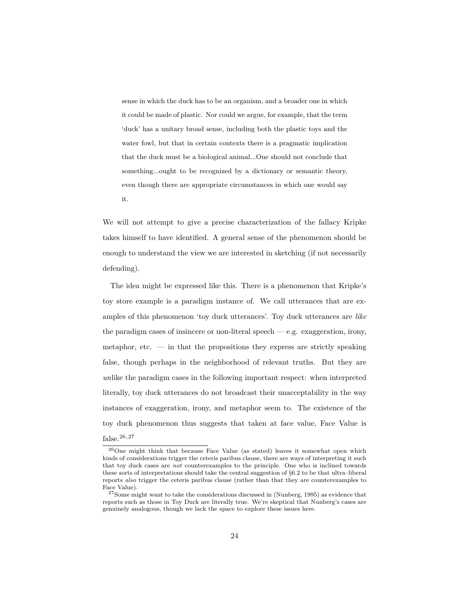sense in which the duck has to be an organism, and a broader one in which it could be made of plastic. Nor could we argue, for example, that the term 'duck' has a unitary broad sense, including both the plastic toys and the water fowl, but that in certain contexts there is a pragmatic implication that the duck must be a biological animal...One should not conclude that something...ought to be recognized by a dictionary or semantic theory, even though there are appropriate circumstances in which one would say it.

We will not attempt to give a precise characterization of the fallacy Kripke takes himself to have identified. A general sense of the phenomenon should be enough to understand the view we are interested in sketching (if not necessarily defending).

The idea might be expressed like this. There is a phenomenon that Kripke's toy store example is a paradigm instance of. We call utterances that are examples of this phenomenon 'toy duck utterances'. Toy duck utterances are *like* the paradigm cases of insincere or non-literal speech  $-$  e.g. exaggeration, irony, metaphor, etc. — in that the propositions they express are strictly speaking false, though perhaps in the neighborhood of relevant truths. But they are *un*like the paradigm cases in the following important respect: when interpreted literally, toy duck utterances do not broadcast their unacceptability in the way instances of exaggeration, irony, and metaphor seem to. The existence of the toy duck phenomenon thus suggests that taken at face value, Face Value is false.<sup>26</sup>*,*<sup>27</sup>

<sup>26</sup>One might think that because Face Value (as stated) leaves it somewhat open which kinds of considerations trigger the ceteris paribus clause, there are ways of interpreting it such that toy duck cases are *not* counterexamples to the principle. One who is inclined towards these sorts of interpretations should take the central suggestion of §6.2 to be that ultra–liberal reports *also* trigger the ceteris paribus clause (rather than that they are counterexamples to Face Value).

<sup>&</sup>lt;sup>27</sup>Some might want to take the considerations discussed in [\(Nunberg,](#page-28-11) [1995\)](#page-28-11) as evidence that reports such as those in Toy Duck are literally true. We're skeptical that Nunberg's cases are genuinely analogous, though we lack the space to explore these issues here.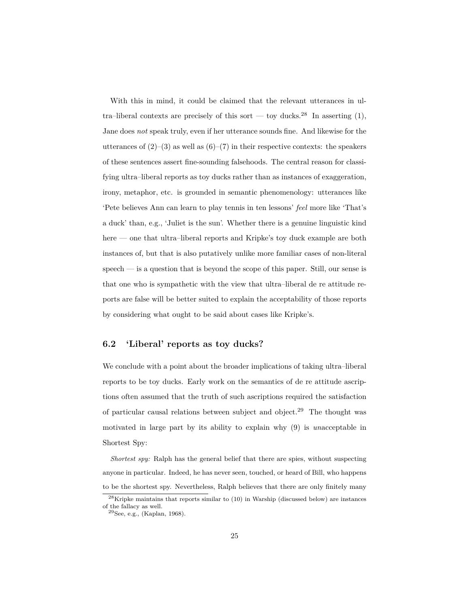With this in mind, it could be claimed that the relevant utterances in ul-tra–liberal contexts are precisely of this sort — toy ducks.<sup>28</sup> In asserting [\(1\)](#page-1-0), Jane does *not* speak truly, even if her utterance sounds fine. And likewise for the utterances of  $(2)$ – $(3)$  as well as  $(6)$ – $(7)$  in their respective contexts: the speakers of these sentences assert fine-sounding falsehoods. The central reason for classifying ultra–liberal reports as toy ducks rather than as instances of exaggeration, irony, metaphor, etc. is grounded in semantic phenomenology: utterances like 'Pete believes Ann can learn to play tennis in ten lessons' *feel* more like 'That's a duck' than, e.g., 'Juliet is the sun'. Whether there is a genuine linguistic kind here — one that ultra–liberal reports and Kripke's toy duck example are both instances of, but that is also putatively unlike more familiar cases of non-literal speech — is a question that is beyond the scope of this paper. Still, our sense is that one who is sympathetic with the view that ultra–liberal de re attitude reports are false will be better suited to explain the acceptability of those reports by considering what ought to be said about cases like Kripke's.

### **6.2 'Liberal' reports as toy ducks?**

We conclude with a point about the broader implications of taking ultra–liberal reports to be toy ducks. Early work on the semantics of de re attitude ascriptions often assumed that the truth of such ascriptions required the satisfaction of particular causal relations between subject and object.<sup>29</sup> The thought was motivated in large part by its ability to explain why [\(9\)](#page-25-0) is *un*acceptable in Shortest Spy:

*Shortest spy:* Ralph has the general belief that there are spies, without suspecting anyone in particular. Indeed, he has never seen, touched, or heard of Bill, who happens to be the shortest spy. Nevertheless, Ralph believes that there are only finitely many

 $28$ Kripke maintains that reports similar to  $(10)$  in Warship (discussed below) are instances of the fallacy as well.

<sup>29</sup>See, e.g., [\(Kaplan,](#page-28-2) [1968\)](#page-28-2).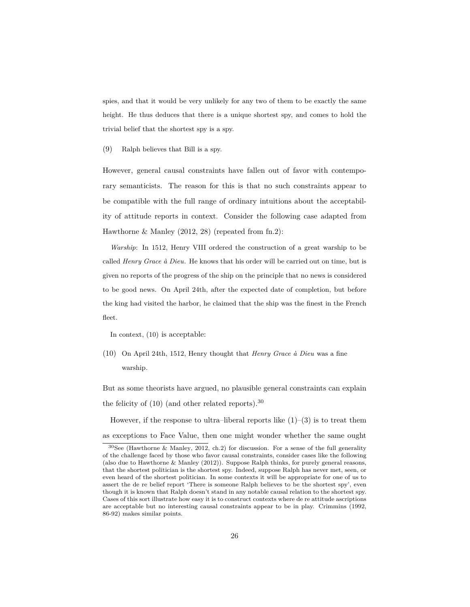spies, and that it would be very unlikely for any two of them to be exactly the same height. He thus deduces that there is a unique shortest spy, and comes to hold the trivial belief that the shortest spy is a spy.

<span id="page-25-0"></span>(9) Ralph believes that Bill is a spy.

However, general causal constraints have fallen out of favor with contemporary semanticists. The reason for this is that no such constraints appear to be compatible with the full range of ordinary intuitions about the acceptability of attitude reports in context. Consider the following case adapted from [Hawthorne & Manley](#page-27-1) [\(2012,](#page-27-1) 28) (repeated from fn.2):

*Warship*: In 1512, Henry VIII ordered the construction of a great warship to be called *Henry Grace à Dieu*. He knows that his order will be carried out on time, but is given no reports of the progress of the ship on the principle that no news is considered to be good news. On April 24th, after the expected date of completion, but before the king had visited the harbor, he claimed that the ship was the finest in the French fleet.

In context, [\(10\)](#page-25-1) is acceptable:

<span id="page-25-1"></span>(10) On April 24th, 1512, Henry thought that *Henry Grace à Dieu* was a fine warship*.*

But as some theorists have argued, no plausible general constraints can explain the felicity of  $(10)$  (and other related reports).<sup>30</sup>

However, if the response to ultra–liberal reports like  $(1)-(3)$  $(1)-(3)$  $(1)-(3)$  is to treat them as exceptions to Face Value, then one might wonder whether the same ought

<sup>&</sup>lt;sup>30</sup>See [\(Hawthorne & Manley,](#page-27-1) [2012,](#page-27-1) ch.2) for discussion. For a sense of the full generality of the challenge faced by those who favor causal constraints, consider cases like the following (also due to [Hawthorne & Manley](#page-27-1) [\(2012\)](#page-27-1)). Suppose Ralph thinks, for purely general reasons, that the shortest politician is the shortest spy. Indeed, suppose Ralph has never met, seen, or even heard of the shortest politician. In some contexts it will be appropriate for one of us to assert the de re belief report 'There is someone Ralph believes to be the shortest spy', even though it is known that Ralph doesn't stand in any notable causal relation to the shortest spy. Cases of this sort illustrate how easy it is to construct contexts where de re attitude ascriptions are acceptable but no interesting causal constraints appear to be in play. [Crimmins](#page-27-10) [\(1992,](#page-27-10) 86-92) makes similar points.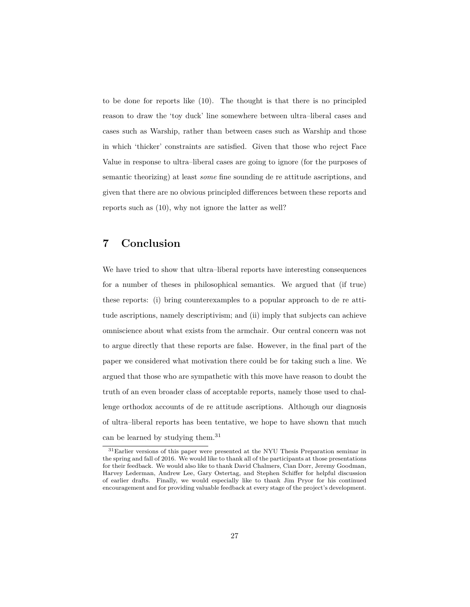to be done for reports like [\(10\)](#page-25-1). The thought is that there is no principled reason to draw the 'toy duck' line somewhere between ultra–liberal cases and cases such as Warship, rather than between cases such as Warship and those in which 'thicker' constraints are satisfied. Given that those who reject Face Value in response to ultra–liberal cases are going to ignore (for the purposes of semantic theorizing) at least *some* fine sounding de re attitude ascriptions, and given that there are no obvious principled differences between these reports and reports such as [\(10\)](#page-25-1), why not ignore the latter as well?

# **7 Conclusion**

We have tried to show that ultra–liberal reports have interesting consequences for a number of theses in philosophical semantics. We argued that (if true) these reports: (i) bring counterexamples to a popular approach to de re attitude ascriptions, namely descriptivism; and (ii) imply that subjects can achieve omniscience about what exists from the armchair. Our central concern was not to argue directly that these reports are false. However, in the final part of the paper we considered what motivation there could be for taking such a line. We argued that those who are sympathetic with this move have reason to doubt the truth of an even broader class of acceptable reports, namely those used to challenge orthodox accounts of de re attitude ascriptions. Although our diagnosis of ultra–liberal reports has been tentative, we hope to have shown that much can be learned by studying them.<sup>31</sup>

<sup>&</sup>lt;sup>31</sup>Earlier versions of this paper were presented at the NYU Thesis Preparation seminar in the spring and fall of 2016. We would like to thank all of the participants at those presentations for their feedback. We would also like to thank David Chalmers, Cian Dorr, Jeremy Goodman, Harvey Lederman, Andrew Lee, Gary Ostertag, and Stephen Schiffer for helpful discussion of earlier drafts. Finally, we would especially like to thank Jim Pryor for his continued encouragement and for providing valuable feedback at every stage of the project's development.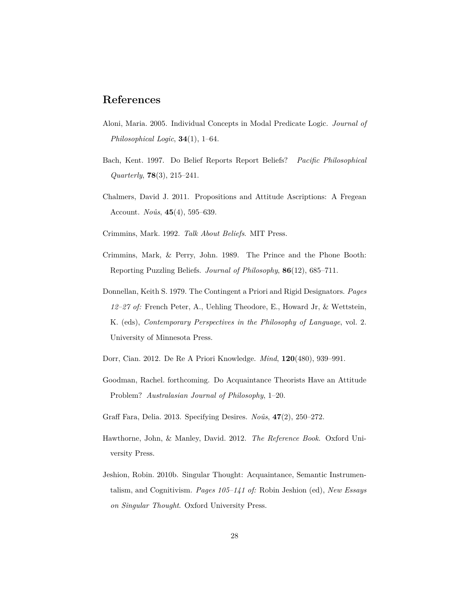# **References**

- <span id="page-27-2"></span>Aloni, Maria. 2005. Individual Concepts in Modal Predicate Logic. *Journal of Philosophical Logic*, **34**(1), 1–64.
- <span id="page-27-8"></span>Bach, Kent. 1997. Do Belief Reports Report Beliefs? *Pacific Philosophical Quarterly*, **78**(3), 215–241.
- <span id="page-27-3"></span>Chalmers, David J. 2011. Propositions and Attitude Ascriptions: A Fregean Account. *Noûs*, **45**(4), 595–639.
- <span id="page-27-10"></span>Crimmins, Mark. 1992. *Talk About Beliefs*. MIT Press.
- <span id="page-27-4"></span>Crimmins, Mark, & Perry, John. 1989. The Prince and the Phone Booth: Reporting Puzzling Beliefs. *Journal of Philosophy*, **86**(12), 685–711.
- <span id="page-27-6"></span>Donnellan, Keith S. 1979. The Contingent a Priori and Rigid Designators. *Pages 12–27 of:* French Peter, A., Uehling Theodore, E., Howard Jr, & Wettstein, K. (eds), *Contemporary Perspectives in the Philosophy of Language*, vol. 2. University of Minnesota Press.
- <span id="page-27-5"></span>Dorr, Cian. 2012. De Re A Priori Knowledge. *Mind*, **120**(480), 939–991.
- <span id="page-27-0"></span>Goodman, Rachel. forthcoming. Do Acquaintance Theorists Have an Attitude Problem? *Australasian Journal of Philosophy*, 1–20.
- <span id="page-27-9"></span>Graff Fara, Delia. 2013. Specifying Desires. *Noûs*, **47**(2), 250–272.
- <span id="page-27-1"></span>Hawthorne, John, & Manley, David. 2012. *The Reference Book*. Oxford University Press.
- <span id="page-27-7"></span>Jeshion, Robin. 2010b. Singular Thought: Acquaintance, Semantic Instrumentalism, and Cognitivism. *Pages 105–141 of:* Robin Jeshion (ed), *New Essays on Singular Thought*. Oxford University Press.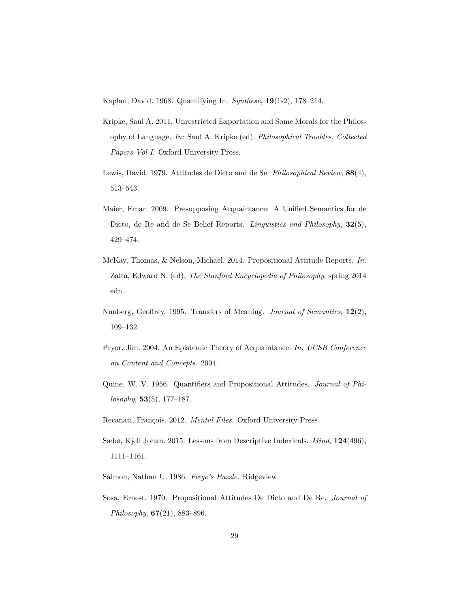<span id="page-28-2"></span>Kaplan, David. 1968. Quantifying In. *Synthese*, **19**(1-2), 178–214.

- <span id="page-28-9"></span>Kripke, Saul A. 2011. Unrestricted Exportation and Some Morals for the Philosophy of Language. *In:* Saul A. Kripke (ed), *Philosophical Troubles. Collected Papers Vol I*. Oxford University Press.
- <span id="page-28-4"></span>Lewis, David. 1979. Attitudes de Dicto and de Se. *Philosophical Review*, **88**(4), 513–543.
- <span id="page-28-5"></span>Maier, Emar. 2009. Presupposing Acquaintance: A Unified Semantics for de Dicto, de Re and de Se Belief Reports. *Linguistics and Philosophy*, **32**(5), 429–474.
- <span id="page-28-8"></span>McKay, Thomas, & Nelson, Michael. 2014. Propositional Attitude Reports. *In:* Zalta, Edward N. (ed), *The Stanford Encyclopedia of Philosophy*, spring 2014 edn.
- <span id="page-28-11"></span>Nunberg, Geoffrey. 1995. Transfers of Meaning. *Journal of Semantics*, **12**(2), 109–132.
- <span id="page-28-1"></span>Pryor, Jim. 2004. An Epistemic Theory of Acquaintance. *In: UCSB Conference on Content and Concepts*. 2004.
- <span id="page-28-10"></span>Quine, W. V. 1956. Quantifiers and Propositional Attitudes. *Journal of Philosophy*, **53**(5), 177–187.
- <span id="page-28-0"></span>Recanati, François. 2012. *Mental Files*. Oxford University Press.
- <span id="page-28-6"></span>Sæbø, Kjell Johan. 2015. Lessons from Descriptive Indexicals. *Mind*, **124**(496), 1111–1161.
- <span id="page-28-7"></span>Salmon, Nathan U. 1986. *Frege's Puzzle*. Ridgeview.
- <span id="page-28-3"></span>Sosa, Ernest. 1970. Propositional Attitudes De Dicto and De Re. *Journal of Philosophy*, **67**(21), 883–896.